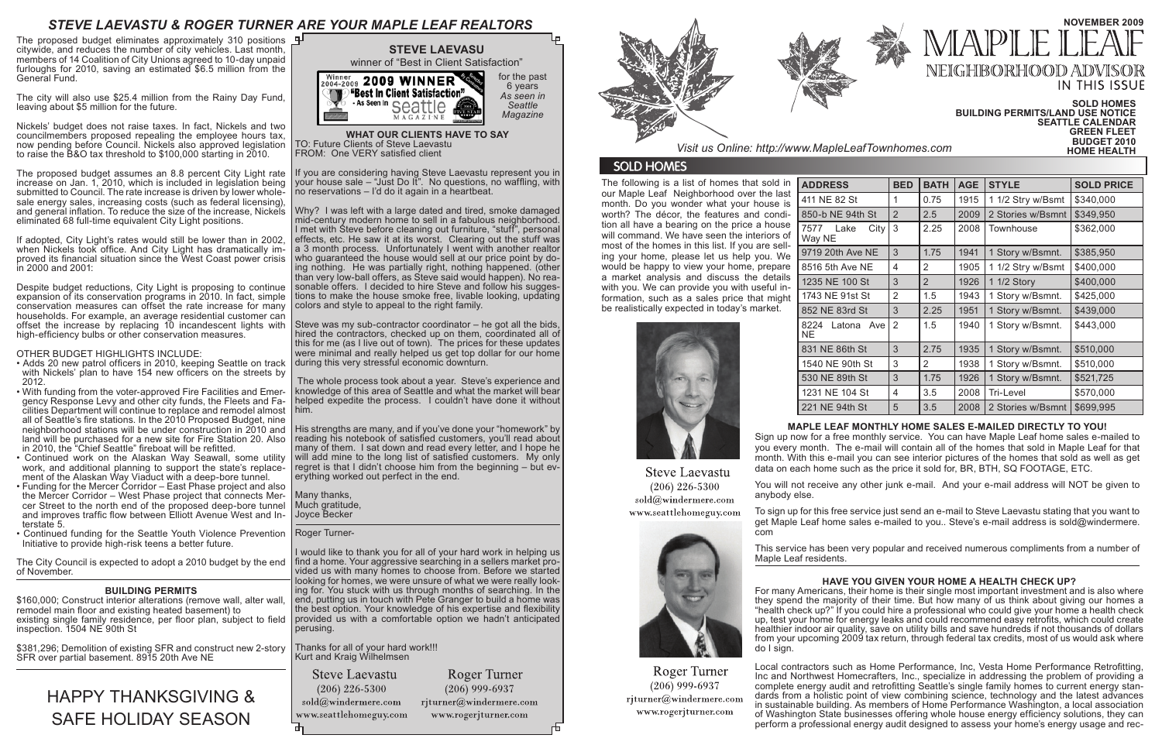The following is a list of homes that sold in our Maple Leaf Neighborhood over the last month. Do you wonder what your house is worth? The décor, the features and condition all have a bearing on the price a house will command. We have seen the interiors of most of the homes in this list. If you are selling your home, please let us help you. We would be happy to view your home, prepare a market analysis and discuss the details with you. We can provide you with useful information, such as a sales price that might be realistically expected in today's market.





Roger Turner

 $(206)$  999-6937

rjturner@windermere.com

www.rogerjturner.com

**Steve Laevastu**  $(206)$  226-5300 anybody else. sold@windermere.com www.seattlehomeguy.com

| <b>ADDRESS</b>                 | <b>BED</b>     | <b>BATH</b>    | <b>AGE</b> | <b>STYLE</b>      | <b>SOLD PRICE</b> |
|--------------------------------|----------------|----------------|------------|-------------------|-------------------|
| 411 NE 82 St                   | 1              | 0.75           | 1915       | 1 1/2 Stry w/Bsmt | \$340,000         |
| 850-b NE 94th St               | $\overline{2}$ | 2.5            | 2009       | 2 Stories w/Bsmnt | \$349,950         |
| City<br>Lake<br>7577<br>Way NE | 3              | 2.25           | 2008       | <b>Townhouse</b>  | \$362,000         |
| 9719 20th Ave NE               | 3              | 1.75           | 1941       | 1 Story w/Bsmnt.  | \$385,950         |
| 8516 5th Ave NE                | 4              | 2              | 1905       | 1 1/2 Stry w/Bsmt | \$400,000         |
| 1235 NE 100 St                 | 3              | $\overline{2}$ | 1926       | 1 1/2 Story       | \$400,000         |
| 1743 NE 91st St                | $\overline{2}$ | 1.5            | 1943       | 1 Story w/Bsmnt.  | \$425,000         |
| 852 NE 83rd St                 | 3              | 2.25           | 1951       | 1 Story w/Bsmnt.  | \$439,000         |
| 8224 Latona Ave<br><b>NE</b>   | $\overline{2}$ | 1.5            | 1940       | 1 Story w/Bsmnt.  | \$443,000         |
| 831 NE 86th St                 | 3              | 2.75           | 1935       | 1 Story w/Bsmnt.  | \$510,000         |
| 1540 NE 90th St                | 3              | 2              | 1938       | 1 Story w/Bsmnt.  | \$510,000         |
| 530 NE 89th St                 | 3              | 1.75           | 1926       | 1 Story w/Bsmnt.  | \$521,725         |
| 1231 NE 104 St                 | 4              | 3.5            | 2008       | Tri-Level         | \$570,000         |
| 221 NE 94th St                 | 5              | 3.5            | 2008       | 2 Stories w/Bsmnt | \$699,995         |

## **SOLD HOMES BUILDING PERMITS/LAND USE NOTICE SEATTLE CALENDAR GREEN FLEET Visit us Online: http://www.MapleLeafTownhomes.com <b>HOME HEALTH**

## **MAPLE LEAF MONTHLY HOME SALES E-MAILED DIRECTLY TO YOU!**

Sign up now for a free monthly service. You can have Maple Leaf home sales e-mailed to you every month. The e-mail will contain all of the homes that sold in Maple Leaf for that month. With this e-mail you can see interior pictures of the homes that sold as well as get data on each home such as the price it sold for, BR, BTH, SQ FOOTAGE, ETC.

You will not receive any other junk e-mail. And your e-mail address will NOT be given to

Steve was my sub-contractor coordinator  $-$  he got all the bids hired the contractors, checked up on them, coordinated all of this for me (as I live out of town). The prices for these updates were minimal and really helped us get top dollar for our home during this very stressful economic downturn.

> To sign up for this free service just send an e-mail to Steve Laevastu stating that you want to get Maple Leaf home sales e-mailed to you.. Steve's e-mail address is sold@windermere. com

This service has been very popular and received numerous compliments from a number of

Maple Leaf residents.



# *STEVE LAEVASTU & ROGER TURNER ARE YOUR MAPLE LEAF REALTORS*

**WHAT OUR CLIENTS HAVE TO SAY** TO: Future Clients of Steve Laevastu FROM: One VERY satisfied client

If you are considering having Steve Laevastu represent you in your house sale – "Just Do It". No questions, no waffling, with no reservations – I'd do it again in a heartbeat.

Why? I was left with a large dated and tired, smoke damaged mid-century modern home to sell in a fabulous neighborhood. I met with Steve before cleaning out furniture, "stuff", personal effects, etc. He saw it at its worst. Clearing out the stuff was a 3 month process. Unfortunately I went with another realtor who quaranteed the house would sell at our price point by doing nothing. He was partially right, nothing happened. (other than very low-ball offers, as Steve said would happen). No reasonable offers. I decided to hire Steve and follow his suggestions to make the house smoke free, livable looking, updating colors and style to appeal to the right family.

The proposed budget eliminates approximately 310 positions  $\mathbf{P}$ citywide, and reduces the number of city vehicles. Last month, members of 14 Coalition of City Unions agreed to 10-day unpaid furloughs for 2010, saving an estimated \$6.5 million from the General Fund.

Despite budget reductions, City Light is proposing to continue expansion of its conservation programs in 2010. In fact, simple conservation measures can offset the rate increase for many households. For example, an average residential customer can offset the increase by replacing 10 incandescent lights with high-efficiency bulbs or other conservation measures.

> The whole process took about a year. Steve's experience and knowledge of this area of Seattle and what the market will bear helped expedite the process. I couldn't have done it without him.

His strengths are many, and if you've done your "homework" by reading his notebook of satisfied customers, you'll read about many of them. I sat down and read every letter, and I hope he will add mine to the long list of satisfied customers. My only regret is that I didn't choose him from the beginning – but ev- erything worked out perfect in the end.

Many thanks, Much gratitude, Joyce Becker

Roger Turner-

I would like to thank you for all of your hard work in helping us find a home. Your aggressive searching in a sellers market provided us with many homes to choose from. Before we started looking for homes, we were unsure of what we were really looking for. You stuck with us through months of searching. In the end, putting us in touch with Pete Granger to build a home was the best option. Your knowledge of his expertise and flexibility provided us with a comfortable option we hadn't anticipated perusing.

Thanks for all of your hard work!!! Kurt and Kraig Wilhelmsen

**Steve Laevastu** 

 $(206)$  226-5300 sold@windermere.com www.seattlehomeguy.com

Roger Turner  $(206)$  999-6937 rjturner@windermere.com



# **SOLD HOMES**

## **HAVE YOU GIVEN YOUR HOME A HEALTH CHECK UP?**

For many Americans, their home is their single most important investment and is also where they spend the majority of their time. But how many of us think about giving our homes a "health check up?" If you could hire a professional who could give your home a health check up, test your home for energy leaks and could recommend easy retrofits, which could create healthier indoor air quality, save on utility bills and save hundreds if not thousands of dollars from your upcoming 2009 tax return, through federal tax credits, most of us would ask where do I sign.

Local contractors such as Home Performance, Inc, Vesta Home Performance Retrofitting, Inc and Northwest Homecrafters, Inc., specialize in addressing the problem of providing a complete energy audit and retrofitting Seattle's single family homes to current energy standards from a holistic point of view combining science, technology and the latest advances in sustainable building. As members of Home Performance Washington, a local association of Washington State businesses offering whole house energy efficiency solutions, they can perform a professional energy audit designed to assess your home's energy usage and rec-

www.rogerjturner.com



# **NOVEMBER 2009 APLE** NEIGHBORHOOD ADV **IN THIS ISSUE**

The city will also use \$25.4 million from the Rainy Day Fund, leaving about \$5 million for the future.

Nickels' budget does not raise taxes. In fact, Nickels and two councilmembers proposed repealing the employee hours tax, now pending before Council. Nickels also approved legislation to raise the B&O tax threshold to \$100,000 starting in 2010.

The proposed budget assumes an 8.8 percent City Light rate increase on Jan. 1, 2010, which is included in legislation being submitted to Council. The rate increase is driven by lower wholesale energy sales, increasing costs (such as federal licensing), and general inflation. To reduce the size of the increase, Nickels eliminated 68 full-time equivalent City Light positions.

If adopted, City Light's rates would still be lower than in 2002, when Nickels took office. And City Light has dramatically improved its financial situation since the West Coast power crisis in 2000 and 2001:

### OTHER BUDGET HIGHLIGHTS INCLUDE:

- Adds 20 new patrol officers in 2010, keeping Seattle on track with Nickels' plan to have 154 new officers on the streets by 2012.
- With funding from the voter-approved Fire Facilities and Emergency Response Levy and other city funds, the Fleets and Facilities Department will continue to replace and remodel almost all of Seattle's fire stations. In the 2010 Proposed Budget, nine neighborhood stations will be under construction in 2010 and land will be purchased for a new site for Fire Station 20. Also in 2010, the "Chief Seattle" fireboat will be refitted.
- Continued work on the Alaskan Way Seawall, some utility work, and additional planning to support the state's replacement of the Alaskan Way Viaduct with a deep-bore tunnel.
- Funding for the Mercer Corridor East Phase project and also the Mercer Corridor – West Phase project that connects Mercer Street to the north end of the proposed deep-bore tunnel and improves traffic flow between Elliott Avenue West and In-<br>terstate 5.
- Continued funding for the Seattle Youth Violence Prevention Initiative to provide high-risk teens a better future.

The City Council is expected to adopt a 2010 budget by the end of November.

### **BUILDING PERMITS**

\$160,000; Construct interior alterations (remove wall, alter wall, remodel main floor and existing heated basement) to existing single family residence, per floor plan, subject to field inspection. 1504 NE 90th St

\$381,296; Demolition of existing SFR and construct new 2-story SFR over partial basement. 8915 20th Ave NE

# HAPPY THANKSGIVING & SAFE HOLIDAY SEASON